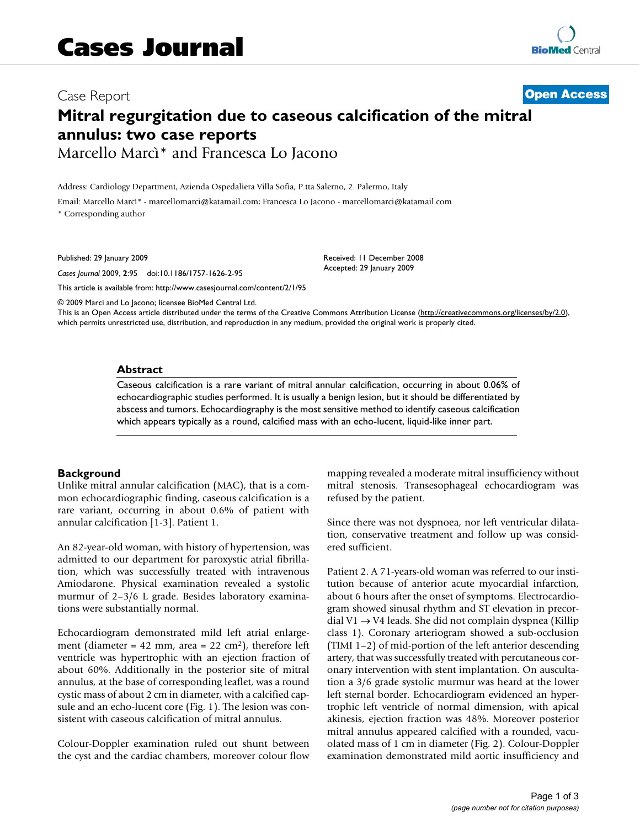# Case Report **[Open Access](http://www.biomedcentral.com/info/about/charter/) Mitral regurgitation due to caseous calcification of the mitral annulus: two case reports** Marcello Marcì\* and Francesca Lo Jacono

Address: Cardiology Department, Azienda Ospedaliera Villa Sofia, P.tta Salerno, 2. Palermo, Italy

Email: Marcello Marcì\* - marcellomarci@katamail.com; Francesca Lo Jacono - marcellomarci@katamail.com \* Corresponding author

Published: 29 January 2009

*Cases Journal* 2009, **2**:95 doi:10.1186/1757-1626-2-95

[This article is available from: http://www.casesjournal.com/content/2/1/95](http://www.casesjournal.com/content/2/1/95)

© 2009 Marcì and Lo Jacono; licensee BioMed Central Ltd.

This is an Open Access article distributed under the terms of the Creative Commons Attribution License [\(http://creativecommons.org/licenses/by/2.0\)](http://creativecommons.org/licenses/by/2.0), which permits unrestricted use, distribution, and reproduction in any medium, provided the original work is properly cited.

Received: 11 December 2008 Accepted: 29 January 2009

#### **Abstract**

Caseous calcification is a rare variant of mitral annular calcification, occurring in about 0.06% of echocardiographic studies performed. It is usually a benign lesion, but it should be differentiated by abscess and tumors. Echocardiography is the most sensitive method to identify caseous calcification which appears typically as a round, calcified mass with an echo-lucent, liquid-like inner part.

## **Background**

Unlike mitral annular calcification (MAC), that is a common echocardiographic finding, caseous calcification is a rare variant, occurring in about 0.6% of patient with annular calcification [1-3]. Patient 1.

An 82-year-old woman, with history of hypertension, was admitted to our department for paroxystic atrial fibrillation, which was successfully treated with intravenous Amiodarone. Physical examination revealed a systolic murmur of 2–3/6 L grade. Besides laboratory examinations were substantially normal.

Echocardiogram demonstrated mild left atrial enlargement (diameter = 42 mm, area =  $22 \text{ cm}^2$ ), therefore left ventricle was hypertrophic with an ejection fraction of about 60%. Additionally in the posterior site of mitral annulus, at the base of corresponding leaflet, was a round cystic mass of about 2 cm in diameter, with a calcified capsule and an echo-lucent core (Fig. 1). The lesion was consistent with caseous calcification of mitral annulus.

Colour-Doppler examination ruled out shunt between the cyst and the cardiac chambers, moreover colour flow mapping revealed a moderate mitral insufficiency without mitral stenosis. Transesophageal echocardiogram was refused by the patient.

Since there was not dyspnoea, nor left ventricular dilatation, conservative treatment and follow up was considered sufficient.

Patient 2. A 71-years-old woman was referred to our institution because of anterior acute myocardial infarction, about 6 hours after the onset of symptoms. Electrocardiogram showed sinusal rhythm and ST elevation in precordial V1  $\rightarrow$  V4 leads. She did not complain dyspnea (Killip class 1). Coronary arteriogram showed a sub-occlusion (TIMI 1–2) of mid-portion of the left anterior descending artery, that was successfully treated with percutaneous coronary intervention with stent implantation. On auscultation a 3/6 grade systolic murmur was heard at the lower left sternal border. Echocardiogram evidenced an hypertrophic left ventricle of normal dimension, with apical akinesis, ejection fraction was 48%. Moreover posterior mitral annulus appeared calcified with a rounded, vacuolated mass of 1 cm in diameter (Fig. 2). Colour-Doppler examination demonstrated mild aortic insufficiency and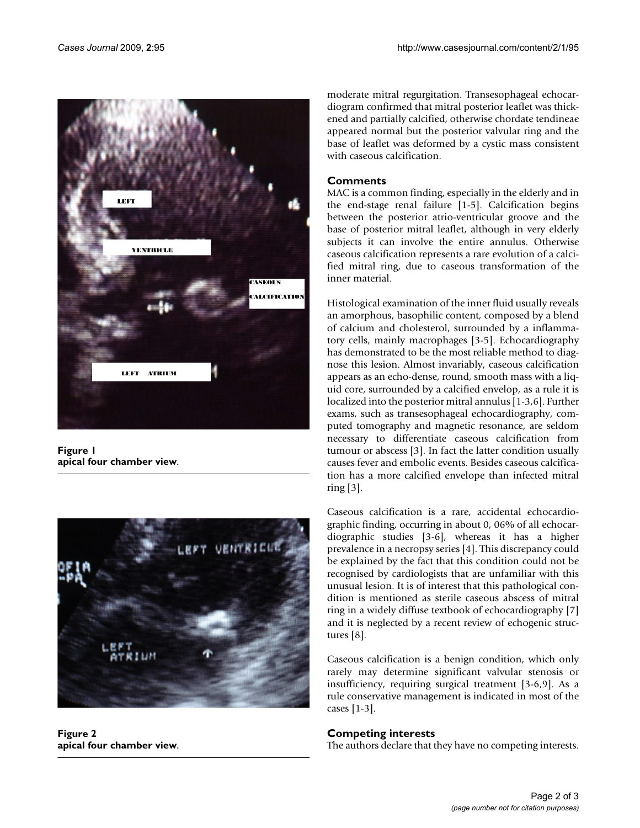

**Figure 1 apical four chamber view**.



**Figure 2 apical four chamber view**.

moderate mitral regurgitation. Transesophageal echocardiogram confirmed that mitral posterior leaflet was thickened and partially calcified, otherwise chordate tendineae appeared normal but the posterior valvular ring and the base of leaflet was deformed by a cystic mass consistent with caseous calcification.

# **Comments**

MAC is a common finding, especially in the elderly and in the end-stage renal failure [1-5]. Calcification begins between the posterior atrio-ventricular groove and the base of posterior mitral leaflet, although in very elderly subjects it can involve the entire annulus. Otherwise caseous calcification represents a rare evolution of a calcified mitral ring, due to caseous transformation of the inner material.

Histological examination of the inner fluid usually reveals an amorphous, basophilic content, composed by a blend of calcium and cholesterol, surrounded by a inflammatory cells, mainly macrophages [3-5]. Echocardiography has demonstrated to be the most reliable method to diagnose this lesion. Almost invariably, caseous calcification appears as an echo-dense, round, smooth mass with a liquid core, surrounded by a calcified envelop, as a rule it is localized into the posterior mitral annulus [1-3,6]. Further exams, such as transesophageal echocardiography, computed tomography and magnetic resonance, are seldom necessary to differentiate caseous calcification from tumour or abscess [3]. In fact the latter condition usually causes fever and embolic events. Besides caseous calcification has a more calcified envelope than infected mitral ring [3].

Caseous calcification is a rare, accidental echocardiographic finding, occurring in about 0, 06% of all echocardiographic studies [3-6], whereas it has a higher prevalence in a necropsy series [4]. This discrepancy could be explained by the fact that this condition could not be recognised by cardiologists that are unfamiliar with this unusual lesion. It is of interest that this pathological condition is mentioned as sterile caseous abscess of mitral ring in a widely diffuse textbook of echocardiography [7] and it is neglected by a recent review of echogenic structures [8].

Caseous calcification is a benign condition, which only rarely may determine significant valvular stenosis or insufficiency, requiring surgical treatment [3-6,9]. As a rule conservative management is indicated in most of the cases [1-3].

# **Competing interests**

The authors declare that they have no competing interests.